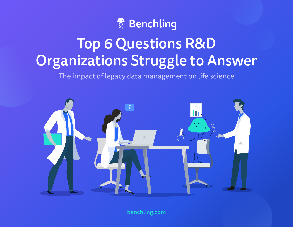# Senchling

# Top 6 Questions R&D Organizations Struggle to Answer

The impact of legacy data management on life science



[benchling.com](https://www.benchling.com/)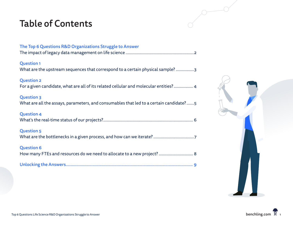### Table of Contents

| The Top 6 Questions R&D Organizations Struggle to Answer                                                    |
|-------------------------------------------------------------------------------------------------------------|
| <b>Question 1</b><br>What are the upstream sequences that correspond to a certain physical sample? 3        |
| <b>Question 2</b><br>For a given candidate, what are all of its related cellular and molecular entities? 4  |
| <b>Question 3</b><br>What are all the assays, parameters, and consumables that led to a certain candidate?5 |
| <b>Question 4</b>                                                                                           |
| <b>Question 5</b>                                                                                           |
| <b>Question 6</b>                                                                                           |
| How many FTEs and resources do we need to allocate to a new project?  8                                     |
|                                                                                                             |

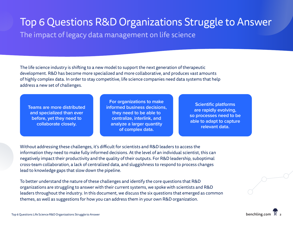# <span id="page-2-0"></span>Top 6 Questions R&D Organizations Struggle to Answer

The impact of legacy data management on life science

The life science industry is shifting to a new model to support the next generation of therapeutic development. R&D has become more specialized and more collaborative, and produces vast amounts of highly complex data. In order to stay competitive, life science companies need data systems that help address a new set of challenges.

**Teams are more distributed and specialized than ever before, yet they need to collaborate closely.**

**For organizations to make informed business decisions, they need to be able to centralize, interlink, and analyze a larger quantity of complex data.**

**Scientific platforms are rapidly evolving, so processes need to be able to adapt to capture relevant data.**

Without addressing these challenges, it's difficult for scientists and R&D leaders to access the information they need to make fully informed decisions. At the level of an individual scientist, this can negatively impact their productivity and the quality of their outputs. For R&D leadership, suboptimal cross-team collaboration, a lack of centralized data, and sluggishness to respond to process changes lead to knowledge gaps that slow down the pipeline.

To better understand the nature of these challenges and identify the core questions that R&D organizations are struggling to answer with their current systems, we spoke with scientists and R&D leaders throughout the industry. In this document, we discuss the six questions that emerged as common themes, as well as suggestions for how you can address them in your own R&D organization.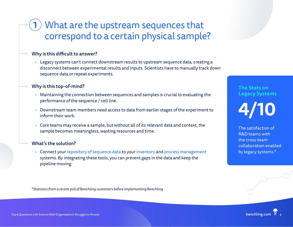### <span id="page-3-0"></span>What are the upstream sequences that correspond to a certain physical sample? 1

### Why is this difficult to answer?

• Legacy systems can't connect downstream results to upstream sequence data, creating a disconnect between experimental results and inputs. Scientists have to manually track down sequence data or repeat experiments.

### Why is this top-of-mind?

- Maintaining the connection between sequences and samples is crucial to evaluating the performance of the sequence / cell line.
- Downstream team members need access to data from earlier stages of the experiment to inform their work.
- Core teams may receive a sample, but without all of its relevant data and context, the sample becomes meaningless, wasting resources and time.

#### What's the solution?

• Connect your [repository of sequence data](https://www.benchling.com/registry/) to your [inventory](https://www.benchling.com/inventory/) and [process management](https://www.benchling.com/workflows/) systems. By integrating these tools, you can prevent gaps in the data and keep the pipeline moving.

*\*Statistics from a recent poll of Benchling customers before implementing Benchling*

### **The Stats on Legacy Systems**

**4/10**

The satisfaction of R&D teams with the cross-team collaboration enabled by legacy systems.\*

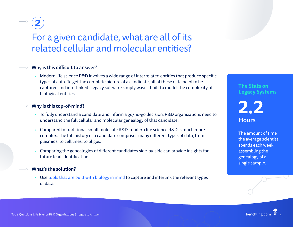### <span id="page-4-0"></span>For a given candidate, what are all of its related cellular and molecular entities?

### Why is this difficult to answer?

• Modern life science R&D involves a wide range of interrelated entities that produce specific types of data. To get the complete picture of a candidate, all of these data need to be captured and interlinked. Legacy software simply wasn't built to model the complexity of biological entities.

#### Why is this top-of-mind?

- To fully understand a candidate and inform a go/no-go decision, R&D organizations need to understand the full cellular and molecular genealogy of that candidate.
- Compared to traditional small molecule R&D, modern life science R&D is much more complex. The full history of a candidate comprises many different types of data, from plasmids, to cell lines, to oligos.
- Comparing the genealogies of different candidates side-by-side can provide insights for future lead identification.

### What's the solution?

• Use [tools that are built with biology in mind](https://www.benchling.com/registry/) to capture and interlink the relevant types of data.

### **The Stats on Legacy Systems**

### **2.2 Hours**

The amount of time the average scientist spends each week assembling the genealogy of a single sample.

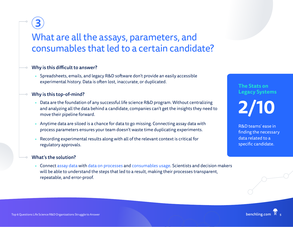### <span id="page-5-0"></span>What are all the assays, parameters, and consumables that led to a certain candidate?

### Why is this difficult to answer?

• Spreadsheets, emails, and legacy R&D software don't provide an easily accessible experimental history. Data is often lost, inaccurate, or duplicated.

#### Why is this top-of-mind?

- Data are the foundation of any successful life science R&D program. Without centralizing and analyzing all the data behind a candidate, companies can't get the insights they need to move their pipeline forward.
- Anytime data are siloed is a chance for data to go missing. Connecting assay data with process parameters ensures your team doesn't waste time duplicating experiments.
- Recording experimental results along with all of the relevant context is critical for regulatory approvals.

#### What's the solution?

• Connect [assay data](https://www.benchling.com/registry/) with [data on processes](https://www.benchling.com/workflows/) and [consumables usage](https://www.benchling.com/requests/). Scientists and decision makers will be able to understand the steps that led to a result, making their processes transparent, repeatable, and error-proof.

### **The Stats on Legacy Systems 2/10**

R&D teams' ease in finding the necessary data related to a specific candidate.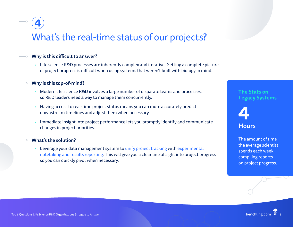### <span id="page-6-0"></span>What's the real-time status of our projects?

### Why is this difficult to answer?

• Life science R&D processes are inherently complex and iterative. Getting a complete picture of project progress is difficult when using systems that weren't built with biology in mind.

#### Why is this top-of-mind?

- Modern life science R&D involves a large number of disparate teams and processes, so R&D leaders need a way to manage them concurrently.
- Having access to real-time project status means you can more accurately predict downstream timelines and adjust them when necessary.
- Immediate insight into project performance lets you promptly identify and communicate changes in project priorities.

#### What's the solution?

• Leverage your data management system to [unify project tracking](https://www.benchling.com/workflows/) with [experimental](https://www.benchling.com/notebook/)  [notetaking and results reporting](https://www.benchling.com/notebook/). This will give you a clear line of sight into project progress so you can quickly pivot when necessary.

### **The Stats on Legacy Systems**



The amount of time the average scientist spends each week compiling reports on project progress.

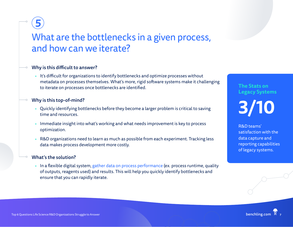### <span id="page-7-0"></span>What are the bottlenecks in a given process, and how can we iterate?

### Why is this difficult to answer?

• It's difficult for organizations to identify bottlenecks and optimize processes without metadata on processes themselves. What's more, rigid software systems make it challenging to iterate on processes once bottlenecks are identified.

### Why is this top-of-mind?

- Quickly identifying bottlenecks before they become a larger problem is critical to saving time and resources.
- Immediate insight into what's working and what needs improvement is key to process optimization.
- R&D organizations need to learn as much as possible from each experiment. Tracking less data makes process development more costly.

#### What's the solution?

• In a flexible digital system, [gather data on process performance](https://www.benchling.com/insights/) (ex. process runtime, quality of outputs, reagents used) and results. This will help you quickly identify bottlenecks and ensure that you can rapidly iterate.

## **The Stats on Legacy Systems 3/10**

R&D teams' satisfaction with the data capture and reporting capabilities of legacy systems.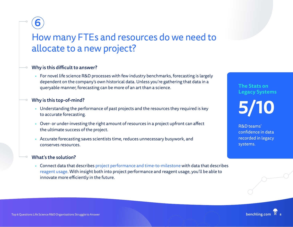### <span id="page-8-0"></span>How many FTEs and resources do we need to allocate to a new project?

### Why is this difficult to answer?

• For novel life science R&D processes with few industry benchmarks, forecasting is largely dependent on the company's own historical data. Unless you're gathering that data in a queryable manner, forecasting can be more of an art than a science.

#### Why is this top-of-mind?

- Understanding the performance of past projects and the resources they required is key to accurate forecasting.
- Over- or under-investing the right amount of resources in a project upfront can affect the ultimate success of the project.
- Accurate forecasting saves scientists time, reduces unnecessary busywork, and conserves resources.

#### What's the solution?

• Connect data that describes [project performance and time-to-milestone](https://www.benchling.com/workflows/) with data that describes [reagent usage](https://www.benchling.com/registry/). With insight both into project performance and reagent usage, you'll be able to innovate more efficiently in the future.

### **The Stats on Legacy Systems 5/10**

R&D teams' confidence in data recorded in legacy systems.